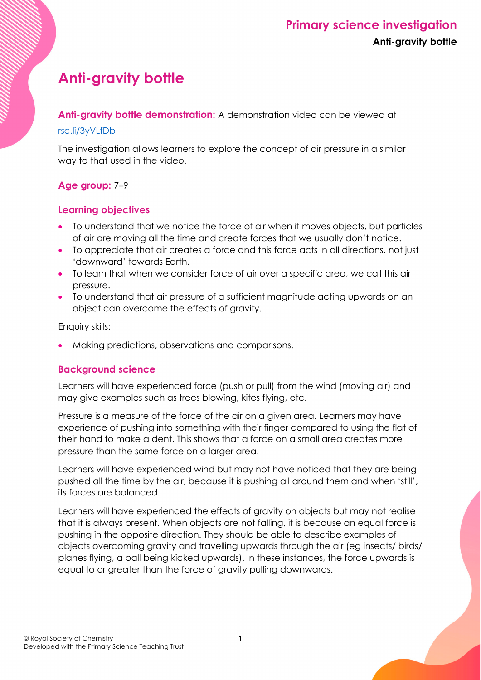# **Anti-gravity bottle**

**Anti-gravity bottle demonstration:** A demonstration video can be viewed at

### [rsc.li/3yVLfDb](https://rsc.li/3yVLfDb)

The investigation allows learners to explore the concept of air pressure in a similar way to that used in the video.

## **Age group:** 7–9

## **Learning objectives**

- To understand that we notice the force of air when it moves objects, but particles of air are moving all the time and create forces that we usually don't notice.
- To appreciate that air creates a force and this force acts in all directions, not just 'downward' towards Earth.
- To learn that when we consider force of air over a specific area, we call this air pressure.
- To understand that air pressure of a sufficient magnitude acting upwards on an object can overcome the effects of gravity.

Enquiry skills:

• Making predictions, observations and comparisons.

## **Background science**

Learners will have experienced force (push or pull) from the wind (moving air) and may give examples such as trees blowing, kites flying, etc.

Pressure is a measure of the force of the air on a given area. Learners may have experience of pushing into something with their finger compared to using the flat of their hand to make a dent. This shows that a force on a small area creates more pressure than the same force on a larger area.

Learners will have experienced wind but may not have noticed that they are being pushed all the time by the air, because it is pushing all around them and when 'still', its forces are balanced.

Learners will have experienced the effects of gravity on objects but may not realise that it is always present. When objects are not falling, it is because an equal force is pushing in the opposite direction. They should be able to describe examples of objects overcoming gravity and travelling upwards through the air (eg insects/ birds/ planes flying, a ball being kicked upwards). In these instances, the force upwards is equal to or greater than the force of gravity pulling downwards.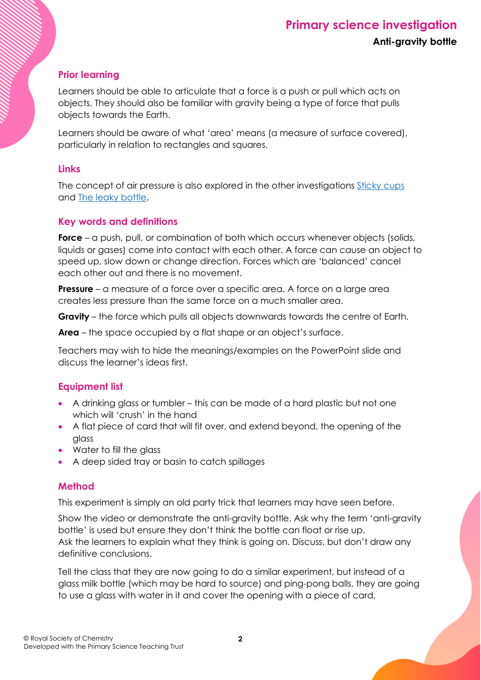## **Prior learning**

Learners should be able to articulate that a force is a push or pull which acts on objects. They should also be familiar with gravity being a type of force that pulls objects towards the Earth.

Learners should be aware of what 'area' means (a measure of surface covered), particularly in relation to rectangles and squares.

#### **Links**

The concept of air pressure is also explored in the other investigations [Sticky cups](https://rsc.li/3r8KWCo) and [The leaky bottle.](https://rsc.li/3zab56P)

#### **Key words and definitions**

**Force** – a push, pull, or combination of both which occurs whenever objects (solids, liquids or gases) come into contact with each other. A force can cause an object to speed up, slow down or change direction. Forces which are 'balanced' cancel each other out and there is no movement.

**Pressure** – a measure of a force over a specific area. A force on a large area creates less pressure than the same force on a much smaller area.

**Gravity** – the force which pulls all objects downwards towards the centre of Earth.

**Area** – the space occupied by a flat shape or an object's surface.

Teachers may wish to hide the meanings/examples on the PowerPoint slide and discuss the learner's ideas first.

## **Equipment list**

- A drinking glass or tumbler this can be made of a hard plastic but not one which will 'crush' in the hand
- A flat piece of card that will fit over, and extend beyond, the opening of the glass
- Water to fill the glass
- A deep sided tray or basin to catch spillages

## **Method**

This experiment is simply an old party trick that learners may have seen before.

Show the video or demonstrate the anti-gravity bottle. Ask why the term 'anti-gravity bottle' is used but ensure they don't think the bottle can float or rise up. Ask the learners to explain what they think is going on. Discuss, but don't draw any definitive conclusions.

Tell the class that they are now going to do a similar experiment, but instead of a glass milk bottle (which may be hard to source) and ping-pong balls, they are going to use a glass with water in it and cover the opening with a piece of card.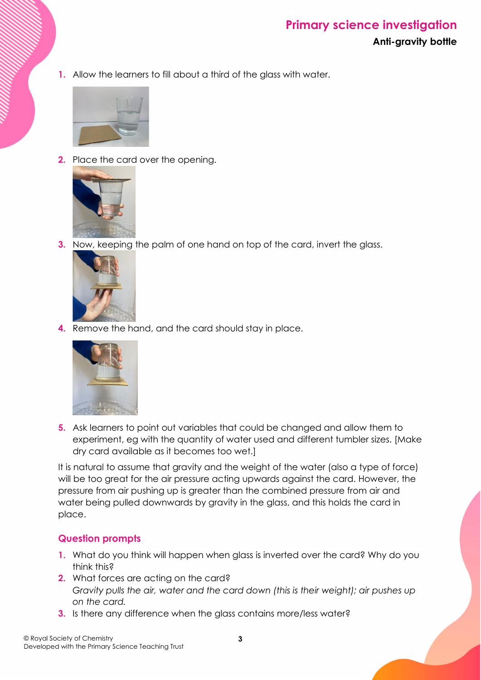## **Primary science investigation Anti-gravity bottle**

**1.** Allow the learners to fill about a third of the glass with water.



**2.** Place the card over the opening.



**3.** Now, keeping the palm of one hand on top of the card, invert the glass.



**4.** Remove the hand, and the card should stay in place.



**5.** Ask learners to point out variables that could be changed and allow them to experiment, eg with the quantity of water used and different tumbler sizes. [Make dry card available as it becomes too wet.]

It is natural to assume that gravity and the weight of the water (also a type of force) will be too great for the air pressure acting upwards against the card. However, the pressure from air pushing up is greater than the combined pressure from air and water being pulled downwards by gravity in the glass, and this holds the card in place.

## **Question prompts**

- **1.** What do you think will happen when glass is inverted over the card? Why do you think this?
- **2.** What forces are acting on the card? *Gravity pulls the air, water and the card down (this is their weight); air pushes up on the card.*
- **3.** Is there any difference when the glass contains more/less water?